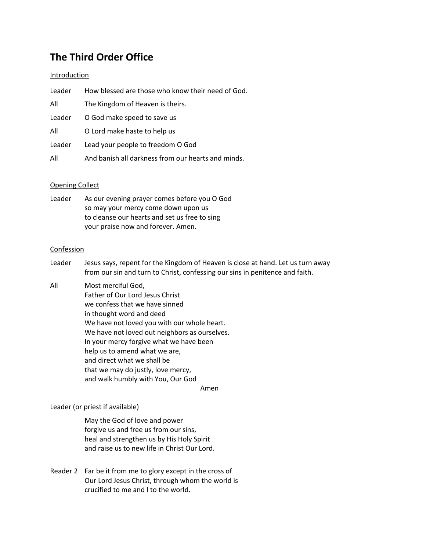# **The Third Order Office**

# Introduction

| Leader | How blessed are those who know their need of God.  |
|--------|----------------------------------------------------|
| All    | The Kingdom of Heaven is theirs.                   |
| Leader | O God make speed to save us                        |
| All    | O Lord make haste to help us                       |
| Leader | Lead your people to freedom O God                  |
| All    | And banish all darkness from our hearts and minds. |

# Opening Collect

| Leader | As our evening prayer comes before you O God  |
|--------|-----------------------------------------------|
|        | so may your mercy come down upon us           |
|        | to cleanse our hearts and set us free to sing |
|        | your praise now and forever. Amen.            |

# Confession

- Leader Jesus says, repent for the Kingdom of Heaven is close at hand. Let us turn away from our sin and turn to Christ, confessing our sins in penitence and faith.
- All Most merciful God, Father of Our Lord Jesus Christ we confess that we have sinned in thought word and deed We have not loved you with our whole heart. We have not loved out neighbors as ourselves. In your mercy forgive what we have been help us to amend what we are, and direct what we shall be that we may do justly, love mercy, and walk humbly with You, Our God

Amen

Leader (or priest if available)

May the God of love and power forgive us and free us from our sins, heal and strengthen us by His Holy Spirit and raise us to new life in Christ Our Lord.

Reader 2 Far be it from me to glory except in the cross of Our Lord Jesus Christ, through whom the world is crucified to me and I to the world.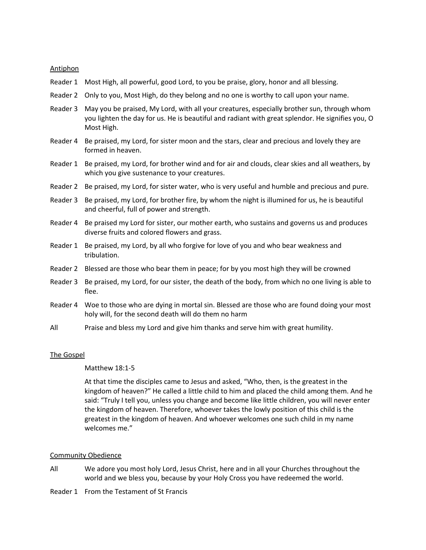# Antiphon

- Reader 1 Most High, all powerful, good Lord, to you be praise, glory, honor and all blessing.
- Reader 2 Only to you, Most High, do they belong and no one is worthy to call upon your name.
- Reader 3 May you be praised, My Lord, with all your creatures, especially brother sun, through whom you lighten the day for us. He is beautiful and radiant with great splendor. He signifies you, O Most High.
- Reader 4 Be praised, my Lord, for sister moon and the stars, clear and precious and lovely they are formed in heaven.
- Reader 1 Be praised, my Lord, for brother wind and for air and clouds, clear skies and all weathers, by which you give sustenance to your creatures.
- Reader 2 Be praised, my Lord, for sister water, who is very useful and humble and precious and pure.
- Reader 3 Be praised, my Lord, for brother fire, by whom the night is illumined for us, he is beautiful and cheerful, full of power and strength.
- Reader 4 Be praised my Lord for sister, our mother earth, who sustains and governs us and produces diverse fruits and colored flowers and grass.
- Reader 1 Be praised, my Lord, by all who forgive for love of you and who bear weakness and tribulation.
- Reader 2 Blessed are those who bear them in peace; for by you most high they will be crowned
- Reader 3 Be praised, my Lord, for our sister, the death of the body, from which no one living is able to flee.
- Reader 4 Woe to those who are dying in mortal sin. Blessed are those who are found doing your most holy will, for the second death will do them no harm
- All Praise and bless my Lord and give him thanks and serve him with great humility.

# The Gospel

#### Matthew 18:1-5

At that time the disciples came to Jesus and asked, "Who, then, is the greatest in the kingdom of heaven?" He called a little child to him and placed the child among them. And he said: "Truly I tell you, unless you change and become like little children, you will never enter the kingdom of heaven. Therefore, whoever takes the lowly position of this child is the greatest in the kingdom of heaven. And whoever welcomes one such child in my name welcomes me."

#### Community Obedience

- All We adore you most holy Lord, Jesus Christ, here and in all your Churches throughout the world and we bless you, because by your Holy Cross you have redeemed the world.
- Reader 1 From the Testament of St Francis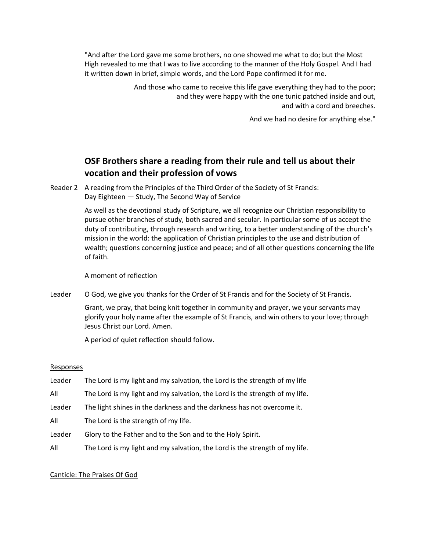"And after the Lord gave me some brothers, no one showed me what to do; but the Most High revealed to me that I was to live according to the manner of the Holy Gospel. And I had it written down in brief, simple words, and the Lord Pope confirmed it for me.

> And those who came to receive this life gave everything they had to the poor; and they were happy with the one tunic patched inside and out, and with a cord and breeches.

> > And we had no desire for anything else."

# **OSF Brothers share a reading from their rule and tell us about their vocation and their profession of vows**

Reader 2 A reading from the Principles of the Third Order of the Society of St Francis: Day Eighteen — Study, The Second Way of Service

> As well as the devotional study of Scripture, we all recognize our Christian responsibility to pursue other branches of study, both sacred and secular. In particular some of us accept the duty of contributing, through research and writing, to a better understanding of the church's mission in the world: the application of Christian principles to the use and distribution of wealth; questions concerning justice and peace; and of all other questions concerning the life of faith.

A moment of reflection

Leader O God, we give you thanks for the Order of St Francis and for the Society of St Francis.

Grant, we pray, that being knit together in community and prayer, we your servants may glorify your holy name after the example of St Francis, and win others to your love; through Jesus Christ our Lord. Amen.

A period of quiet reflection should follow.

# **Responses**

- Leader The Lord is my light and my salvation, the Lord is the strength of my life
- All The Lord is my light and my salvation, the Lord is the strength of my life.
- Leader The light shines in the darkness and the darkness has not overcome it.
- All The Lord is the strength of my life.
- Leader Glory to the Father and to the Son and to the Holy Spirit.
- All The Lord is my light and my salvation, the Lord is the strength of my life.

# Canticle: The Praises Of God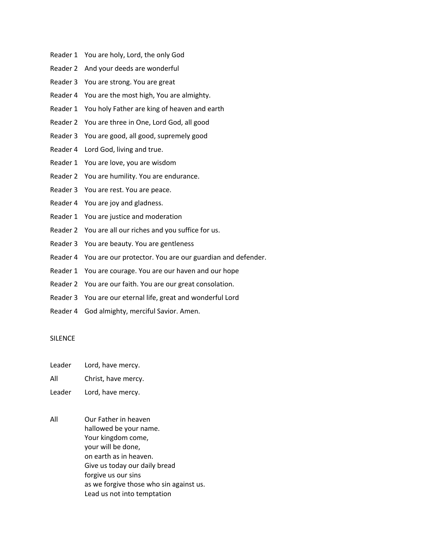- Reader 1 You are holy, Lord, the only God
- Reader 2 And your deeds are wonderful
- Reader 3 You are strong. You are great
- Reader 4 You are the most high, You are almighty.
- Reader 1 You holy Father are king of heaven and earth
- Reader 2 You are three in One, Lord God, all good
- Reader 3 You are good, all good, supremely good
- Reader 4 Lord God, living and true.
- Reader 1 You are love, you are wisdom
- Reader 2 You are humility. You are endurance.
- Reader 3 You are rest. You are peace.
- Reader 4 You are joy and gladness.
- Reader 1 You are justice and moderation
- Reader 2 You are all our riches and you suffice for us.
- Reader 3 You are beauty. You are gentleness
- Reader 4 You are our protector. You are our guardian and defender.
- Reader 1 You are courage. You are our haven and our hope
- Reader 2 You are our faith. You are our great consolation.
- Reader 3 You are our eternal life, great and wonderful Lord
- Reader 4 God almighty, merciful Savior. Amen.

# **SILENCE**

- Leader Lord, have mercy.
- All Christ, have mercy.
- Leader Lord, have mercy.
- All Our Father in heaven hallowed be your name. Your kingdom come, your will be done, on earth as in heaven. Give us today our daily bread forgive us our sins as we forgive those who sin against us. Lead us not into temptation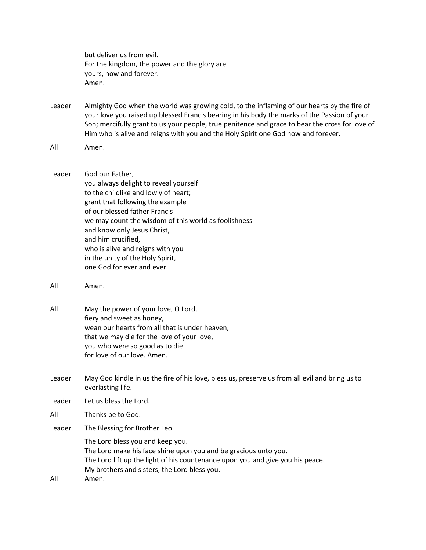but deliver us from evil. For the kingdom, the power and the glory are yours, now and forever. Amen.

Leader Almighty God when the world was growing cold, to the inflaming of our hearts by the fire of your love you raised up blessed Francis bearing in his body the marks of the Passion of your Son; mercifully grant to us your people, true penitence and grace to bear the cross for love of Him who is alive and reigns with you and the Holy Spirit one God now and forever.

- Leader God our Father, you always delight to reveal yourself to the childlike and lowly of heart; grant that following the example of our blessed father Francis we may count the wisdom of this world as foolishness and know only Jesus Christ, and him crucified, who is alive and reigns with you in the unity of the Holy Spirit, one God for ever and ever.
- All Amen.
- All May the power of your love, O Lord, fiery and sweet as honey, wean our hearts from all that is under heaven, that we may die for the love of your love, you who were so good as to die for love of our love. Amen.
- Leader May God kindle in us the fire of his love, bless us, preserve us from all evil and bring us to everlasting life.
- Leader Let us bless the Lord.
- All Thanks be to God.
- Leader The Blessing for Brother Leo
- The Lord bless you and keep you. The Lord make his face shine upon you and be gracious unto you. The Lord lift up the light of his countenance upon you and give you his peace. My brothers and sisters, the Lord bless you. All Amen.

All Amen.